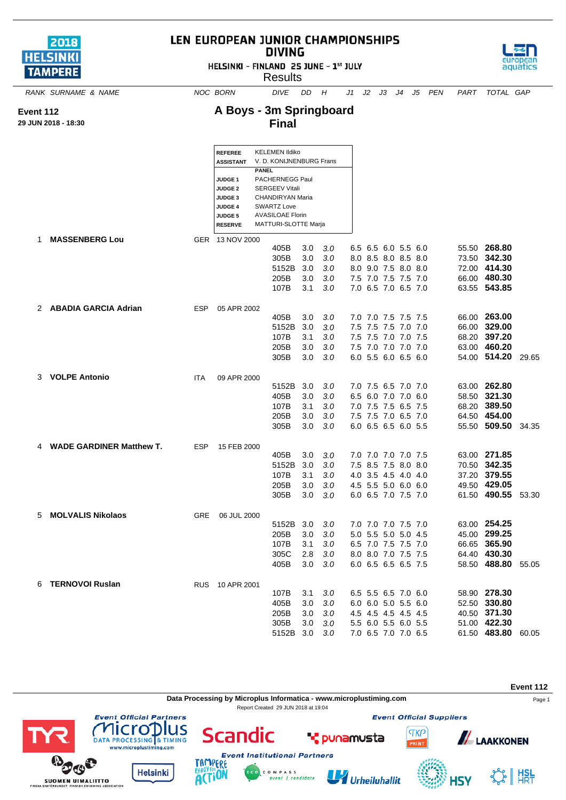

## LEN EUROPEAN JUNIOR CHAMPIONSHIPS **DIVING**

HELSINKI - FINLAND 25 JUNE - 1st JULY



**A Boys - 3m Springboard**



*RANK SURNAME & NAME NOC BORN DIVE DD H J1 J2 J3 J4 J5 PEN PART TOTAL GAP*

aquatics

## **Event 112**

**29 JUN 2018 - 18:30**

|    | JN 2018 - 18:30            |            |                                                                                                              | <b>Final</b>                                                                                                                                          |                                  |                                                    |                     |                                                                                                                 |                                            |                                                                                    |  |
|----|----------------------------|------------|--------------------------------------------------------------------------------------------------------------|-------------------------------------------------------------------------------------------------------------------------------------------------------|----------------------------------|----------------------------------------------------|---------------------|-----------------------------------------------------------------------------------------------------------------|--------------------------------------------|------------------------------------------------------------------------------------|--|
|    |                            |            | <b>REFEREE</b><br><b>ASSISTANT</b>                                                                           | <b>KELEMEN Ildiko</b><br>V. D. KONIJNENBURG Frans                                                                                                     |                                  |                                                    |                     |                                                                                                                 |                                            |                                                                                    |  |
|    |                            |            | JUDGE <sub>1</sub><br><b>JUDGE 2</b><br><b>JUDGE 3</b><br><b>JUDGE 4</b><br><b>JUDGE 5</b><br><b>RESERVE</b> | <b>PANEL</b><br>PACHERNEGG Paul<br><b>SERGEEV Vitali</b><br>CHANDIRYAN Maria<br><b>SWARTZ Love</b><br><b>AVASILOAE Florin</b><br>MATTURI-SLOTTE Marja |                                  |                                                    |                     |                                                                                                                 |                                            |                                                                                    |  |
|    | 1 MASSENBERG Lou           |            | GER 13 NOV 2000                                                                                              | 405B<br>305B<br>5152B<br>205B<br>107B                                                                                                                 | 3.0<br>3.0<br>-3.0<br>3.0<br>3.1 | 3.0<br>3.0<br>3.0<br>3.0<br>3.0                    |                     | 6.5 6.5 6.0 5.5 6.0<br>8.0 8.5 8.0 8.5 8.0<br>8.0 9.0 7.5 8.0 8.0<br>7.5 7.0 7.5 7.5 7.0<br>7.0 6.5 7.0 6.5 7.0 |                                            | 55.50 268.80<br>73.50 342.30<br>72.00 414.30<br>66.00 480.30<br>63.55 543.85       |  |
|    | 2 ABADIA GARCIA Adrian     | <b>ESP</b> | 05 APR 2002                                                                                                  | 405B<br>5152B<br>107B                                                                                                                                 | 3.0<br>3.0<br>3.1                | 3.0<br>3.0<br>3.0                                  |                     | 7.0 7.0 7.5 7.5 7.5<br>7.5 7.5 7.5 7.0 7.0<br>7.5 7.5 7.0 7.0 7.5                                               |                                            | 66.00 263.00<br>66.00 329.00<br>68.20 397.20                                       |  |
|    | 3 VOLPE Antonio            |            |                                                                                                              | 205B<br>305B                                                                                                                                          | 3.0<br>3.0                       | 3.0<br>3.0                                         |                     | 7.5 7.0 7.0 7.0 7.0<br>6.0 5.5 6.0 6.5 6.0                                                                      |                                            | 63.00 460.20<br>54.00 514.20 29.65                                                 |  |
|    |                            | <b>ITA</b> | 09 APR 2000                                                                                                  | 5152B 3.0<br>405B<br>107B<br>205B<br>305B                                                                                                             | 3.0<br>3.1<br>3.0<br>3.0         | 3.0<br>3.0<br>3.0<br>3.0<br>3.0                    |                     | 7.0 7.5 6.5 7.0 7.0<br>6.5 6.0 7.0 7.0 6.0<br>7.0 7.5 7.5 6.5 7.5<br>7.5 7.5 7.0 6.5 7.0<br>6.0 6.5 6.5 6.0 5.5 |                                            | 63.00 262.80<br>58.50 321.30<br>68.20 389.50<br>64.50 454.00<br>55.50 509.50 34.35 |  |
|    | 4 WADE GARDINER Matthew T. | <b>ESP</b> | 15 FEB 2000                                                                                                  | 405B<br>5152B<br>107B<br>205B<br>305B                                                                                                                 | 3.0<br>3.0<br>3.1<br>3.0<br>3.0  | 3.0<br>3.0<br>3.0<br>3.0<br>3.0                    |                     | 7.0 7.0 7.0 7.0 7.5<br>7.5 8.5 7.5 8.0 8.0<br>4.0 3.5 4.5 4.0 4.0<br>4.5 5.5 5.0 6.0 6.0<br>6.0 6.5 7.0 7.5 7.0 |                                            | 63.00 271.85<br>70.50 342.35<br>37.20 379.55<br>49.50 429.05<br>61.50 490.55 53.30 |  |
| 5. | <b>MOLVALIS Nikolaos</b>   | <b>GRE</b> | 06 JUL 2000                                                                                                  | 5152B 3.0<br>205B<br>107B<br>305C<br>405B                                                                                                             | 3.0<br>3.1                       | 3.0<br>3.0<br>3.0<br>$2.8$ $3.0$<br>$3.0\quad 3.0$ |                     | 7.0 7.0 7.0 7.5 7.0<br>5.0 5.5 5.0 5.0 4.5<br>6.0 6.5 6.5 6.5 7.5                                               | 6.5 7.0 7.5 7.5 7.0<br>8.0 8.0 7.0 7.5 7.5 | 63.00 254.25<br>45.00 299.25<br>66.65 365.90<br>64.40 430.30<br>58.50 488.80 55.05 |  |
|    | 6 TERNOVOI Ruslan          |            |                                                                                                              | 107B<br>405B<br>205B<br>305B<br>5152B 3.0 3.0                                                                                                         | 3.1<br>3.0<br>3.0                | 3.0<br>3.0<br>3.0<br>$3.0$ $3.0$                   | 6.5 5.5 6.5 7.0 6.0 | 6.0 6.0 5.0 5.5 6.0<br>4.5 4.5 4.5 4.5 4.5<br>5.5 6.0 5.5 6.0 5.5<br>7.0 6.5 7.0 7.0 6.5                        |                                            | 58.90 278.30<br>52.50 330.80<br>40.50 371.30<br>51.00 422.30<br>61.50 483.80 60.05 |  |

**Data Processing by Microplus Informatica - www.microplustiming.com** Page 1

C O M P A S S<br>event | candidate

Report Created 29 JUN 2018 at 19:04





**Helsinki** 





**\*** punamusta

**Event Official Suppliers** 

**TKP** 

PRINT



**A**LAAKKONEN

**HSV** 

 $\frac{1}{2}$   $\frac{1}{2}$   $\frac{1}{2}$   $\frac{1}{2}$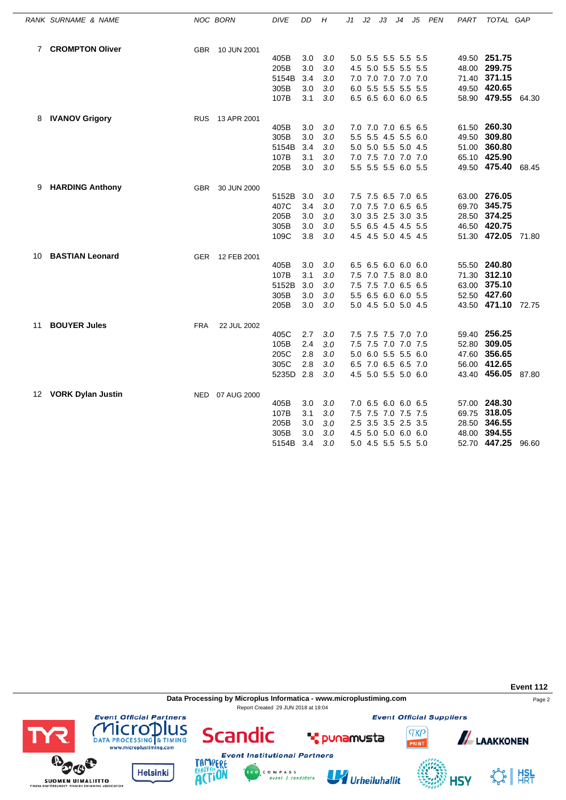|    | RANK SURNAME & NAME      | NOC BORN        | <b>DIVE</b> | DD  | Η   | J1            | J2 | JЗ                  | J4 | J5   | <b>PEN</b> | PART | TOTAL GAP          |       |
|----|--------------------------|-----------------|-------------|-----|-----|---------------|----|---------------------|----|------|------------|------|--------------------|-------|
|    | 7 CROMPTON Oliver        | <b>GBR</b>      | 10 JUN 2001 |     |     |               |    |                     |    |      |            |      |                    |       |
|    |                          |                 | 405B        | 3.0 | 3.0 |               |    | 5.0 5.5 5.5 5.5 5.5 |    |      |            |      | 49.50 251.75       |       |
|    |                          |                 | 205B        | 3.0 | 3.0 |               |    | 4.5 5.0 5.5 5.5 5.5 |    |      |            |      | 48.00 299.75       |       |
|    |                          |                 | 5154B       | 3.4 | 3.0 |               |    | 7.0 7.0 7.0 7.0 7.0 |    |      |            |      | 71.40 371.15       |       |
|    |                          |                 | 305B        | 3.0 | 3.0 |               |    | 6.0 5.5 5.5 5.5 5.5 |    |      |            |      | 49.50 420.65       |       |
|    |                          |                 | 107B        | 3.1 | 3.0 |               |    | 6.5 6.5 6.0 6.0 6.5 |    |      |            |      | 58.90 479.55       | 64.30 |
| 8  | <b>IVANOV Grigory</b>    | RUS 13 APR 2001 |             |     |     |               |    |                     |    |      |            |      |                    |       |
|    |                          |                 | 405B        | 3.0 | 3.0 |               |    | 7.0 7.0 7.0 6.5 6.5 |    |      |            |      | 61.50 260.30       |       |
|    |                          |                 | 305B        | 3.0 | 3.0 | $5.5^{\circ}$ |    | 5.5 4.5 5.5         |    | 6.0  |            |      | 49.50 309.80       |       |
|    |                          |                 | 5154B       | 3.4 | 3.0 |               |    | 5.0 5.0 5.5 5.0 4.5 |    |      |            |      | 51.00 360.80       |       |
|    |                          |                 | 107B        | 3.1 | 3.0 |               |    | 7.0 7.5 7.0 7.0 7.0 |    |      |            |      | 65.10 425.90       |       |
|    |                          |                 | 205B        | 3.0 | 3.0 |               |    | 5.5 5.5 5.5 6.0 5.5 |    |      |            |      | 49.50 475.40       | 68.45 |
| 9  | <b>HARDING Anthony</b>   | <b>GBR</b>      | 30 JUN 2000 |     |     |               |    |                     |    |      |            |      |                    |       |
|    |                          |                 | 5152B       | 3.0 | 3.0 |               |    | 7.5 7.5 6.5 7.0 6.5 |    |      |            |      | 63.00 276.05       |       |
|    |                          |                 | 407C        | 3.4 | 3.0 |               |    | 7.0 7.5 7.0 6.5 6.5 |    |      |            |      | 69.70 345.75       |       |
|    |                          |                 | 205B        | 3.0 | 3.0 |               |    | 3.0 3.5 2.5 3.0 3.5 |    |      |            |      | 28.50 374.25       |       |
|    |                          |                 | 305B        | 3.0 | 3.0 |               |    | 5.5 6.5 4.5 4.5 5.5 |    |      |            |      | 46.50 420.75       |       |
|    |                          |                 | 109C        | 3.8 | 3.0 |               |    | 4.5 4.5 5.0 4.5 4.5 |    |      |            |      | 51.30 472.05       | 71.80 |
| 10 | <b>BASTIAN Leonard</b>   | GER 12 FEB 2001 |             |     |     |               |    |                     |    |      |            |      |                    |       |
|    |                          |                 | 405B        | 3.0 | 3.0 |               |    | 6.5 6.5 6.0 6.0 6.0 |    |      |            |      | 55.50 240.80       |       |
|    |                          |                 | 107B        | 3.1 | 3.0 |               |    | 7.5 7.0 7.5 8.0 8.0 |    |      |            |      | 71.30 312.10       |       |
|    |                          |                 | 5152B       | 3.0 | 3.0 |               |    | 7.5 7.5 7.0 6.5 6.5 |    |      |            |      | 63.00 375.10       |       |
|    |                          |                 | 305B        | 3.0 | 3.0 |               |    | 5.5 6.5 6.0 6.0 5.5 |    |      |            |      | 52.50 427.60       |       |
|    |                          |                 | 205B        | 3.0 | 3.0 |               |    | 5.0 4.5 5.0 5.0 4.5 |    |      |            |      | 43.50 471.10 72.75 |       |
| 11 | <b>BOUYER Jules</b>      | <b>FRA</b>      | 22 JUL 2002 |     |     |               |    |                     |    |      |            |      |                    |       |
|    |                          |                 | 405C        | 2.7 | 3.0 |               |    | 7.5 7.5 7.5 7.0 7.0 |    |      |            |      | 59.40 256.25       |       |
|    |                          |                 | 105B        | 2.4 | 3.0 |               |    | 7.5 7.5 7.0 7.0 7.5 |    |      |            |      | 52.80 309.05       |       |
|    |                          |                 | 205C        | 2.8 | 3.0 |               |    | 5.0 6.0 5.5 5.5 6.0 |    |      |            |      | 47.60 356.65       |       |
|    |                          |                 | 305C        | 2.8 | 3.0 |               |    | 6.5 7.0 6.5 6.5 7.0 |    |      |            |      | 56.00 412.65       |       |
|    |                          |                 | 5235D 2.8   |     | 3.0 |               |    | 4.5 5.0 5.5 5.0 6.0 |    |      |            |      | 43.40 456.05 87.80 |       |
| 12 | <b>VORK Dylan Justin</b> | <b>NED</b>      | 07 AUG 2000 |     |     |               |    |                     |    |      |            |      |                    |       |
|    |                          |                 | 405B        | 3.0 | 3.0 |               |    | 7.0 6.5 6.0 6.0 6.5 |    |      |            |      | 57.00 248.30       |       |
|    |                          |                 | 107B        | 3.1 | 3.0 |               |    | 7.5 7.5 7.0 7.5 7.5 |    |      |            |      | 69.75 318.05       |       |
|    |                          |                 | 205B        | 3.0 | 3.0 | 2.5           |    | 3.5 3.5 2.5         |    | -3.5 |            |      | 28.50 346.55       |       |
|    |                          |                 | 305B        | 3.0 | 3.0 |               |    | 4.5 5.0 5.0 6.0 6.0 |    |      |            |      | 48.00 394.55       |       |
|    |                          |                 | 5154B       | 3.4 | 3.0 |               |    | 5.0 4.5 5.5 5.5 5.0 |    |      |            |      | 52.70 447.25       | 96.60 |

**Data Processing by Microplus Informatica - www.microplustiming.com** Page 2 Report Created 29 JUN 2018 at 19:04

**Event Official Suppliers** 

**TKP** 

**Event 112**



**Helsinki** 

**Event Official Partners** 

**BOOS** 

**SUOMEN UIMALIITTO** 



Urheiluhallit

**T** punamusta



**ALAAKKONEN**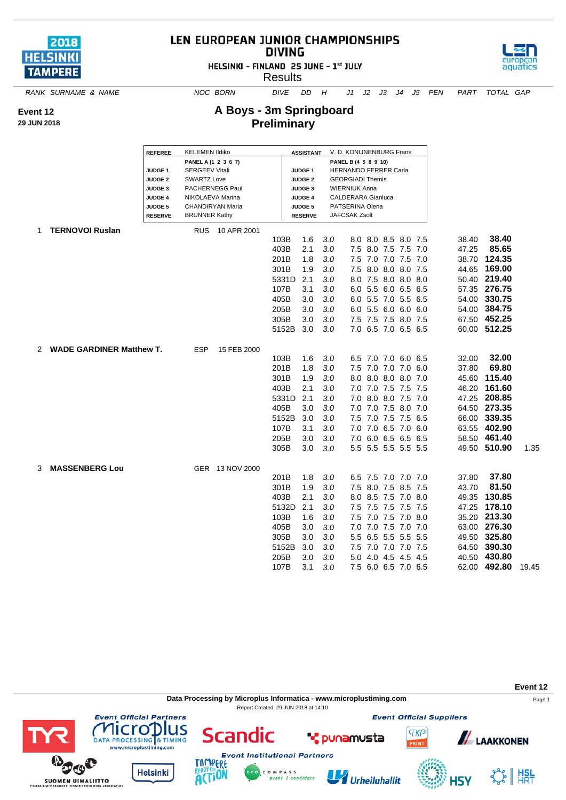

## LEN EUROPEAN JUNIOR CHAMPIONSHIPS **DIVING**





aquatics

**A Boys - 3m Springboard Preliminary**

*RANK SURNAME & NAME NOC BORN DIVE DD H J1 J2 J3 J4 J5 PEN PART TOTAL GAP*

**Event 12**

**29 JUN 2018**

|   |                                 | <b>REFEREE</b>     | <b>KELEMEN Ildiko</b>  |                 |       | <b>ASSISTANT</b> |     | V. D. KONIJNENBURG Frans     |                     |                 |  |       |              |       |
|---|---------------------------------|--------------------|------------------------|-----------------|-------|------------------|-----|------------------------------|---------------------|-----------------|--|-------|--------------|-------|
|   |                                 |                    | PANEL A (1 2 3 6 7)    |                 |       |                  |     | PANEL B (4 5 8 9 10)         |                     |                 |  |       |              |       |
|   |                                 | <b>JUDGE 1</b>     | <b>SERGEEV Vitali</b>  |                 |       | <b>JUDGE 1</b>   |     | <b>HERNANDO FERRER Carla</b> |                     |                 |  |       |              |       |
|   |                                 | <b>JUDGE 2</b>     | <b>SWARTZ Love</b>     |                 |       | <b>JUDGE 2</b>   |     | <b>GEORGIADI Themis</b>      |                     |                 |  |       |              |       |
|   |                                 | JUDGE <sub>3</sub> | <b>PACHERNEGG Paul</b> |                 |       | <b>JUDGE 3</b>   |     | <b>WIERNIUK Anna</b>         |                     |                 |  |       |              |       |
|   |                                 | <b>JUDGE 4</b>     | NIKOLAEVA Marina       |                 |       | <b>JUDGE 4</b>   |     | <b>CALDERARA Gianluca</b>    |                     |                 |  |       |              |       |
|   |                                 | JUDGE 5            | CHANDIRYAN Maria       |                 |       | <b>JUDGE 5</b>   |     | PATSERINA Olena              |                     |                 |  |       |              |       |
|   |                                 | <b>RESERVE</b>     | <b>BRUNNER Kathy</b>   |                 |       | <b>RESERVE</b>   |     | JAFCSAK Zsolt                |                     |                 |  |       |              |       |
| 1 | <b>TERNOVOI Ruslan</b>          |                    | <b>RUS</b>             | 10 APR 2001     |       |                  |     |                              |                     |                 |  |       |              |       |
|   |                                 |                    |                        |                 | 103B  | 1.6              | 3.0 |                              | 8.0 8.0 8.5 8.0 7.5 |                 |  | 38.40 | 38.40        |       |
|   |                                 |                    |                        |                 | 403B  | 2.1              | 3.0 | 7.5                          | 8.0 7.5 7.5 7.0     |                 |  | 47.25 | 85.65        |       |
|   |                                 |                    |                        |                 | 201B  | 1.8              | 3.0 | 7.5                          | 7.0 7.0 7.5 7.0     |                 |  | 38.70 | 124.35       |       |
|   |                                 |                    |                        |                 | 301B  | 1.9              | 3.0 | 7.5                          | 8.0 8.0 8.0 7.5     |                 |  | 44.65 | 169.00       |       |
|   |                                 |                    |                        |                 | 5331D | 2.1              | 3.0 |                              | 8.0 7.5 8.0 8.0 8.0 |                 |  |       | 50.40 219.40 |       |
|   |                                 |                    |                        |                 | 107B  | 3.1              | 3.0 |                              | 6.0 5.5             | 6.0 6.5 6.5     |  | 57.35 | 276.75       |       |
|   |                                 |                    |                        |                 | 405B  | 3.0              | 3.0 |                              | 6.0 5.5 7.0 5.5 6.5 |                 |  | 54.00 | 330.75       |       |
|   |                                 |                    |                        |                 | 205B  | 3.0              | 3.0 |                              | 6.0 5.5 6.0 6.0 6.0 |                 |  | 54.00 | 384.75       |       |
|   |                                 |                    |                        |                 | 305B  | 3.0              | 3.0 |                              | 7.5 7.5 7.5 8.0 7.5 |                 |  | 67.50 | 452.25       |       |
|   |                                 |                    |                        |                 | 5152B | 3.0              | 3.0 |                              | 7.0 6.5 7.0 6.5 6.5 |                 |  |       | 60.00 512.25 |       |
|   |                                 |                    |                        |                 |       |                  |     |                              |                     |                 |  |       |              |       |
| 2 | <b>WADE GARDINER Matthew T.</b> |                    | <b>ESP</b>             | 15 FEB 2000     |       |                  |     |                              |                     |                 |  |       |              |       |
|   |                                 |                    |                        |                 | 103B  | 1.6              | 3.0 |                              | 6.5 7.0 7.0 6.0 6.5 |                 |  | 32.00 | 32.00        |       |
|   |                                 |                    |                        |                 | 201B  | 1.8              | 3.0 |                              | 7.5 7.0 7.0 7.0 6.0 |                 |  | 37.80 | 69.80        |       |
|   |                                 |                    |                        |                 | 301B  | 1.9              | 3.0 |                              | 8.0 8.0 8.0 8.0 7.0 |                 |  | 45.60 | 115.40       |       |
|   |                                 |                    |                        |                 | 403B  | 2.1              | 3.0 | 7.0                          |                     | 7.0 7.5 7.5 7.5 |  | 46.20 | 161.60       |       |
|   |                                 |                    |                        |                 | 5331D | 2.1              | 3.0 |                              | 7.0 8.0 8.0 7.5 7.0 |                 |  |       | 47.25 208.85 |       |
|   |                                 |                    |                        |                 | 405B  | 3.0              | 3.0 |                              | 7.0 7.0 7.5 8.0 7.0 |                 |  |       | 64.50 273.35 |       |
|   |                                 |                    |                        |                 | 5152B | 3.0              | 3.0 | 7.5                          |                     | 7.0 7.5 7.5 6.5 |  | 66.00 | 339.35       |       |
|   |                                 |                    |                        |                 | 107B  | 3.1              | 3.0 | 7.0                          |                     | 7.0 6.5 7.0 6.0 |  |       | 63.55 402.90 |       |
|   |                                 |                    |                        |                 | 205B  | 3.0              | 3.0 |                              | 7.0 6.0 6.5 6.5 6.5 |                 |  |       | 58.50 461.40 |       |
|   |                                 |                    |                        |                 | 305B  | 3.0              | 3.0 |                              | 5.5 5.5 5.5 5.5 5.5 |                 |  |       | 49.50 510.90 | 1.35  |
|   |                                 |                    |                        |                 |       |                  |     |                              |                     |                 |  |       |              |       |
| 3 | <b>MASSENBERG Lou</b>           |                    |                        | GER 13 NOV 2000 |       |                  |     |                              |                     |                 |  |       |              |       |
|   |                                 |                    |                        |                 | 201B  | 1.8              | 3.0 |                              | 6.5 7.5 7.0 7.0 7.0 |                 |  | 37.80 | 37.80        |       |
|   |                                 |                    |                        |                 | 301B  | 1.9              | 3.0 | 7.5                          | 8.0                 | 7.5 8.5 7.5     |  | 43.70 | 81.50        |       |
|   |                                 |                    |                        |                 | 403B  | 2.1              | 3.0 |                              | 8.0 8.5 7.5 7.0 8.0 |                 |  | 49.35 | 130.85       |       |
|   |                                 |                    |                        |                 | 5132D | 2.1              | 3.0 |                              |                     |                 |  | 47.25 | 178.10       |       |
|   |                                 |                    |                        |                 | 103B  | 1.6              | 3.0 | 7.5                          | 7.5 7.5 7.5 7.5 7.5 | 7.0 7.5 7.0 8.0 |  |       | 35.20 213.30 |       |
|   |                                 |                    |                        |                 |       |                  |     |                              |                     |                 |  |       |              |       |
|   |                                 |                    |                        |                 | 405B  | 3.0              | 3.0 | 7.0                          | 7.0                 | 7.5 7.0 7.0     |  |       | 63.00 276.30 |       |
|   |                                 |                    |                        |                 | 305B  | 3.0              | 3.0 |                              | 5.5 6.5 5.5 5.5 5.5 |                 |  |       | 49.50 325.80 |       |
|   |                                 |                    |                        |                 | 5152B | 3.0              | 3.0 | 7.5                          | 7.0 7.0 7.0 7.5     |                 |  | 64.50 | 390.30       |       |
|   |                                 |                    |                        |                 | 205B  | 3.0              | 3.0 | 5.0                          | 4.0                 | 4.5 4.5 4.5     |  | 40.50 | 430.80       |       |
|   |                                 |                    |                        |                 | 107B  | 3.1              | 3.0 |                              | 7.5 6.0 6.5 7.0 6.5 |                 |  | 62.00 | 492.80       | 19.45 |

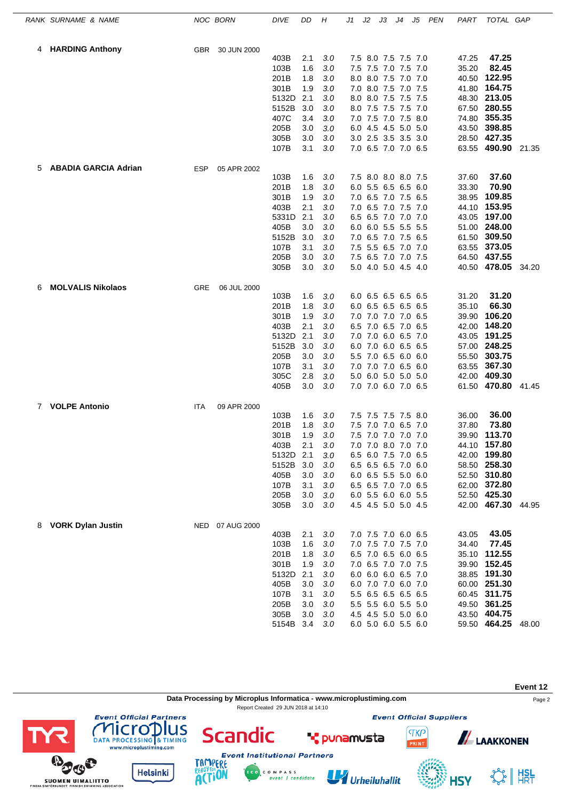|             | RANK SURNAME & NAME         |            | <b>NOC BORN</b> | DIVE           | DD         | Η          | J1 | J2 | JЗ                                         | J4 | J5 | PEN | PART  | TOTAL GAP                    |       |
|-------------|-----------------------------|------------|-----------------|----------------|------------|------------|----|----|--------------------------------------------|----|----|-----|-------|------------------------------|-------|
| 4           | <b>HARDING Anthony</b>      | <b>GBR</b> | 30 JUN 2000     |                |            |            |    |    |                                            |    |    |     |       |                              |       |
|             |                             |            |                 | 403B           | 2.1        | 3.0        |    |    | 7.5 8.0 7.5 7.5 7.0                        |    |    |     | 47.25 | 47.25                        |       |
|             |                             |            |                 | 103B           | 1.6        | 3.0        |    |    | 7.5 7.5 7.0 7.5 7.0                        |    |    |     | 35.20 | 82.45                        |       |
|             |                             |            |                 | 201B           | 1.8        | 3.0        |    |    | 8.0 8.0 7.5 7.0 7.0                        |    |    |     | 40.50 | 122.95                       |       |
|             |                             |            |                 | 301B           | 1.9        | 3.0        |    |    | 7.0 8.0 7.5 7.0 7.5                        |    |    |     | 41.80 | 164.75                       |       |
|             |                             |            |                 | 5132D          | 2.1        | 3.0        |    |    | 8.0 8.0 7.5 7.5 7.5                        |    |    |     |       | 48.30 213.05                 |       |
|             |                             |            |                 | 5152B          | 3.0        | 3.0        |    |    | 8.0 7.5 7.5 7.5 7.0                        |    |    |     |       | 67.50 280.55                 |       |
|             |                             |            |                 | 407C           | 3.4        | 3.0        |    |    | 7.0 7.5 7.0 7.5 8.0                        |    |    |     | 74.80 | 355.35                       |       |
|             |                             |            |                 | 205B           | 3.0        | 3.0        |    |    | 6.0 4.5 4.5 5.0 5.0                        |    |    |     | 43.50 | 398.85                       |       |
|             |                             |            |                 | 305B<br>107B   | 3.0<br>3.1 | 3.0<br>3.0 |    |    | 3.0 2.5 3.5 3.5 3.0<br>7.0 6.5 7.0 7.0 6.5 |    |    |     | 28.50 | 427.35<br>63.55 490.90 21.35 |       |
|             |                             |            |                 |                |            |            |    |    |                                            |    |    |     |       |                              |       |
| 5           | <b>ABADIA GARCIA Adrian</b> | <b>ESP</b> | 05 APR 2002     | 103B           | 1.6        | 3.0        |    |    | 7.5 8.0 8.0 8.0 7.5                        |    |    |     | 37.60 | 37.60                        |       |
|             |                             |            |                 | 201B           | 1.8        | 3.0        |    |    | 6.0 5.5 6.5 6.5 6.0                        |    |    |     | 33.30 | 70.90                        |       |
|             |                             |            |                 | 301B           | 1.9        | 3.0        |    |    | 7.0 6.5 7.0 7.5 6.5                        |    |    |     | 38.95 | 109.85                       |       |
|             |                             |            |                 | 403B           | 2.1        | 3.0        |    |    | 7.0 6.5 7.0 7.5 7.0                        |    |    |     | 44.10 | 153.95                       |       |
|             |                             |            |                 | 5331D          | 2.1        | 3.0        |    |    | 6.5 6.5 7.0 7.0 7.0                        |    |    |     | 43.05 | 197.00                       |       |
|             |                             |            |                 | 405B           | 3.0        | 3.0        |    |    | 6.0 6.0 5.5 5.5 5.5                        |    |    |     |       | 51.00 248.00                 |       |
|             |                             |            |                 | 5152B          | 3.0        | 3.0        |    |    | 7.0 6.5 7.0 7.5 6.5                        |    |    |     | 61.50 | 309.50                       |       |
|             |                             |            |                 | 107B           | 3.1        | 3.0        |    |    | 7.5 5.5 6.5 7.0 7.0                        |    |    |     |       | 63.55 373.05                 |       |
|             |                             |            |                 | 205B           | 3.0        | 3.0        |    |    | 7.5 6.5 7.0 7.0 7.5                        |    |    |     |       | 64.50 437.55                 |       |
|             |                             |            |                 | 305B           | 3.0        | 3.0        |    |    | 5.0 4.0 5.0 4.5 4.0                        |    |    |     |       | 40.50 478.05                 | 34.20 |
| 6           | <b>MOLVALIS Nikolaos</b>    | GRE        | 06 JUL 2000     |                |            |            |    |    |                                            |    |    |     |       |                              |       |
|             |                             |            |                 | 103B           | 1.6        | 3.0        |    |    | 6.0 6.5 6.5 6.5 6.5                        |    |    |     | 31.20 | 31.20                        |       |
|             |                             |            |                 | 201B           | 1.8        | 3.0        |    |    | 6.0 6.5 6.5 6.5 6.5                        |    |    |     | 35.10 | 66.30                        |       |
|             |                             |            |                 | 301B           | 1.9        | 3.0        |    |    | 7.0 7.0 7.0 7.0 6.5                        |    |    |     | 39.90 | 106.20                       |       |
|             |                             |            |                 | 403B           | 2.1        | 3.0        |    |    | 6.5 7.0 6.5 7.0 6.5                        |    |    |     | 42.00 | 148.20                       |       |
|             |                             |            |                 | 5132D          | 2.1        | 3.0        |    |    | 7.0 7.0 6.0 6.5 7.0                        |    |    |     | 43.05 | 191.25                       |       |
|             |                             |            |                 | 5152B          | 3.0        | 3.0        |    |    | 6.0 7.0 6.0 6.5 6.5                        |    |    |     | 57.00 | 248.25                       |       |
|             |                             |            |                 | 205B           | 3.0        | 3.0        |    |    | 5.5 7.0 6.5 6.0 6.0                        |    |    |     | 55.50 | 303.75                       |       |
|             |                             |            |                 | 107B           | 3.1        | 3.0        |    |    | 7.0 7.0 7.0 6.5 6.0                        |    |    |     | 63.55 | 367.30                       |       |
|             |                             |            |                 | 305C           | 2.8        | 3.0        |    |    | 5.0 6.0 5.0 5.0 5.0                        |    |    |     | 42.00 | 409.30                       |       |
|             |                             |            |                 | 405B           | 3.0        | 3.0        |    |    | 7.0 7.0 6.0 7.0 6.5                        |    |    |     |       | 61.50 470.80                 | 41.45 |
| $7^{\circ}$ | <b>VOLPE Antonio</b>        | ITA        | 09 APR 2000     |                |            |            |    |    |                                            |    |    |     |       |                              |       |
|             |                             |            |                 | 103B           | 1.6        | 3.0        |    |    | 7.5 7.5 7.5 7.5 8.0                        |    |    |     | 36.00 | 36.00                        |       |
|             |                             |            |                 | 201B           | 1.8        | 3.0        |    |    | 7.5 7.0 7.0 6.5 7.0                        |    |    |     | 37.80 | 73.80                        |       |
|             |                             |            |                 | 301B           | 1.9        | 3.0        |    |    | 7.5 7.0 7.0 7.0 7.0                        |    |    |     | 39.90 | 113.70                       |       |
|             |                             |            |                 | 403B           | 2.1<br>2.1 | 3.0        |    |    | 7.0 7.0 8.0 7.0 7.0                        |    |    |     |       | 44.10 157.80                 |       |
|             |                             |            |                 | 5132D<br>5152B | 3.0        | 3.0<br>3.0 |    |    | 6.5 6.0 7.5 7.0 6.5<br>6.5 6.5 6.5 7.0 6.0 |    |    |     |       | 42.00 199.80<br>58.50 258.30 |       |
|             |                             |            |                 | 405B           | 3.0        | 3.0        |    |    | 6.0 6.5 5.5 5.0 6.0                        |    |    |     |       | 52.50 310.80                 |       |
|             |                             |            |                 | 107B           | 3.1        | 3.0        |    |    | 6.5 6.5 7.0 7.0 6.5                        |    |    |     |       | 62.00 372.80                 |       |
|             |                             |            |                 | 205B           | 3.0        | 3.0        |    |    | 6.0 5.5 6.0 6.0 5.5                        |    |    |     |       | 52.50 425.30                 |       |
|             |                             |            |                 | 305B           | 3.0        | 3.0        |    |    | 4.5 4.5 5.0 5.0 4.5                        |    |    |     |       | 42.00 467.30 44.95           |       |
|             |                             |            |                 |                |            |            |    |    |                                            |    |    |     |       |                              |       |
| 8           | <b>VORK Dylan Justin</b>    |            | NED 07 AUG 2000 | 403B           | 2.1        | 3.0        |    |    | 7.0 7.5 7.0 6.0 6.5                        |    |    |     | 43.05 | 43.05                        |       |
|             |                             |            |                 | 103B           | 1.6        | 3.0        |    |    | 7.0 7.5 7.0 7.5 7.0                        |    |    |     | 34.40 | 77.45                        |       |
|             |                             |            |                 | 201B           | 1.8        | 3.0        |    |    | 6.5 7.0 6.5 6.0 6.5                        |    |    |     |       | 35.10 112.55                 |       |
|             |                             |            |                 | 301B           | 1.9        | 3.0        |    |    | 7.0 6.5 7.0 7.0 7.5                        |    |    |     |       | 39.90 152.45                 |       |
|             |                             |            |                 | 5132D          | 2.1        | 3.0        |    |    | 6.0 6.0 6.0 6.5 7.0                        |    |    |     |       | 38.85 191.30                 |       |
|             |                             |            |                 | 405B           | 3.0        | 3.0        |    |    | 6.0 7.0 7.0 6.0 7.0                        |    |    |     |       | 60.00 251.30                 |       |
|             |                             |            |                 | 107B           | 3.1        | 3.0        |    |    | 5.5 6.5 6.5 6.5 6.5                        |    |    |     |       | 60.45 311.75                 |       |
|             |                             |            |                 | 205B           | 3.0        | 3.0        |    |    | 5.5 5.5 6.0 5.5 5.0                        |    |    |     |       | 49.50 361.25                 |       |
|             |                             |            |                 | 305B           | 3.0        | 3.0        |    |    | 4.5 4.5 5.0 5.0 6.0                        |    |    |     |       | 43.50 404.75                 |       |
|             |                             |            |                 | 5154B 3.4      |            | 3.0        |    |    | 6.0 5.0 6.0 5.5 6.0                        |    |    |     |       | 59.50 464.25 48.00           |       |

**Event 12 Data Processing by Microplus Informatica - www.microplustiming.com** Page 2 Report Created 29 JUN 2018 at 14:10**Event Official Partners Event Official Suppliers COMPLETED**<br>DATA PROCESSING & TIMING<br>www.microplustiming.com **Scandic TKP ALAAKKONEN T** punamusta **Event Institutional Partners** 

C O M P A S S<br>event | candidate

Urheiluhallit

SS HISL

**HSY** 





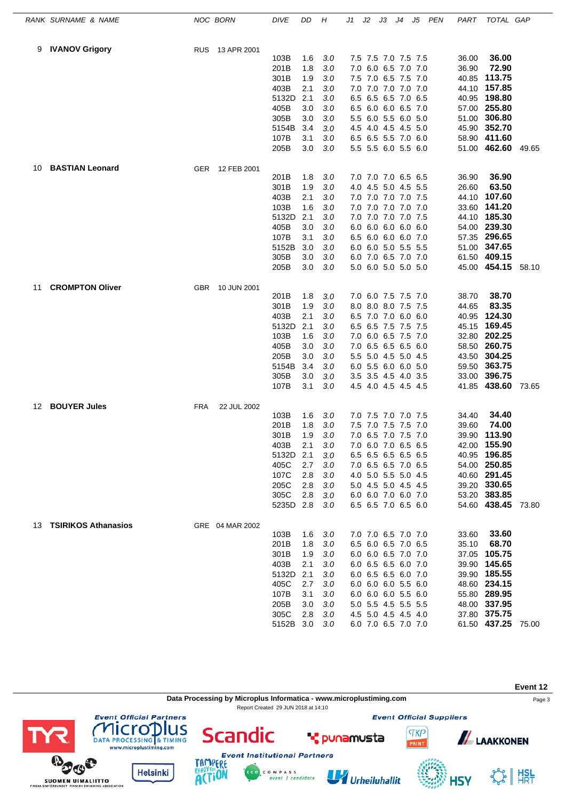|    | RANK SURNAME & NAME        |            | NOC BORN        | DIVE         | DD         | Н              | J1 | J2 | JЗ              | J4                                         | J5  | <b>PEN</b> | PART           | TOTAL GAP                    |       |
|----|----------------------------|------------|-----------------|--------------|------------|----------------|----|----|-----------------|--------------------------------------------|-----|------------|----------------|------------------------------|-------|
| 9  | <b>IVANOV Grigory</b>      | <b>RUS</b> | 13 APR 2001     |              |            |                |    |    |                 |                                            |     |            |                |                              |       |
|    |                            |            |                 | 103B         | 1.6        | 3.0            |    |    |                 | 7.5 7.5 7.0 7.5 7.5                        |     |            | 36.00          | 36.00                        |       |
|    |                            |            |                 | 201B         | 1.8        | 3.0            |    |    |                 | 7.0 6.0 6.5 7.0 7.0                        |     |            | 36.90          | 72.90                        |       |
|    |                            |            |                 | 301B         | 1.9        | 3.0            |    |    | 7.5 7.0 6.5 7.5 |                                            | 7.0 |            | 40.85          | 113.75                       |       |
|    |                            |            |                 | 403B         | 2.1        | 3.0            |    |    |                 | 7.0 7.0 7.0 7.0 7.0                        |     |            | 44.10          | 157.85                       |       |
|    |                            |            |                 | 5132D        | 2.1        | 3.0            |    |    |                 | 6.5 6.5 6.5 7.0 6.5                        |     |            | 40.95          | 198.80                       |       |
|    |                            |            |                 | 405B         | 3.0        | 3.0            |    |    |                 | 6.5 6.0 6.0 6.5 7.0                        |     |            |                | 57.00 255.80                 |       |
|    |                            |            |                 | 305B         | 3.0        | $3.0\,$        |    |    |                 | 5.5 6.0 5.5 6.0 5.0                        |     |            | 51.00          | 306.80                       |       |
|    |                            |            |                 | 5154B        | 3.4        | $3.0\,$        |    |    |                 | 4.5 4.0 4.5 4.5 5.0                        |     |            |                | 45.90 352.70                 |       |
|    |                            |            |                 | 107B<br>205B | 3.1<br>3.0 | 3.0<br>3.0     |    |    |                 | 6.5 6.5 5.5 7.0 6.0<br>5.5 5.5 6.0 5.5 6.0 |     |            |                | 58.90 411.60<br>51.00 462.60 | 49.65 |
| 10 | <b>BASTIAN Leonard</b>     | <b>GER</b> | 12 FEB 2001     |              |            |                |    |    |                 |                                            |     |            |                |                              |       |
|    |                            |            |                 | 201B         | 1.8        | 3.0            |    |    |                 | 7.0 7.0 7.0 6.5 6.5                        |     |            | 36.90          | 36.90                        |       |
|    |                            |            |                 | 301B         | 1.9        | $3.0\,$        |    |    |                 | 4.0 4.5 5.0 4.5 5.5                        |     |            | 26.60          | 63.50                        |       |
|    |                            |            |                 | 403B         | 2.1        | 3.0            |    |    |                 | 7.0 7.0 7.0 7.0 7.5                        |     |            | 44.10          | 107.60                       |       |
|    |                            |            |                 | 103B         | 1.6        | 3.0            |    |    |                 | 7.0 7.0 7.0 7.0 7.0                        |     |            | 33.60          | 141.20                       |       |
|    |                            |            |                 | 5132D        | 2.1        | 3.0            |    |    |                 | 7.0 7.0 7.0 7.0 7.5                        |     |            | 44.10          | 185.30                       |       |
|    |                            |            |                 | 405B         | 3.0        | 3.0            |    |    |                 | 6.0 6.0 6.0 6.0 6.0                        |     |            | 54.00          | 239.30                       |       |
|    |                            |            |                 | 107B         | 3.1        | 3.0            |    |    |                 | 6.5 6.0 6.0 6.0 7.0                        |     |            |                | 57.35 296.65                 |       |
|    |                            |            |                 | 5152B        | 3.0        | 3.0            |    |    |                 | 6.0 6.0 5.0 5.5 5.5                        |     |            |                | 51.00 347.65                 |       |
|    |                            |            |                 | 305B         | 3.0        | 3.0            |    |    |                 | 6.0 7.0 6.5 7.0 7.0                        |     |            |                | 61.50 409.15                 |       |
|    |                            |            |                 | 205B         | 3.0        | 3.0            |    |    |                 | 5.0 6.0 5.0 5.0 5.0                        |     |            | 45.00          | 454.15                       | 58.10 |
| 11 | <b>CROMPTON Oliver</b>     | <b>GBR</b> | 10 JUN 2001     |              |            |                |    |    |                 |                                            |     |            |                |                              |       |
|    |                            |            |                 | 201B         | 1.8        | 3.0            |    |    |                 | 7.0 6.0 7.5 7.5 7.0                        |     |            | 38.70          | 38.70                        |       |
|    |                            |            |                 | 301B         | 1.9        | 3.0            |    |    |                 | 8.0 8.0 8.0 7.5 7.5                        |     |            | 44.65          | 83.35                        |       |
|    |                            |            |                 | 403B         | 2.1        | 3.0            |    |    |                 | 6.5 7.0 7.0 6.0 6.0                        |     |            | 40.95          | 124.30                       |       |
|    |                            |            |                 | 5132D        | 2.1        | 3.0            |    |    |                 | 6.5 6.5 7.5 7.5 7.5                        |     |            | 45.15          | 169.45                       |       |
|    |                            |            |                 | 103B<br>405B | 1.6<br>3.0 | 3.0<br>$3.0\,$ |    |    |                 | 7.0 6.0 6.5 7.5 7.0                        |     |            |                | 32.80 202.25<br>260.75       |       |
|    |                            |            |                 | 205B         | 3.0        |                |    |    |                 | 7.0 6.5 6.5 6.5 6.0                        |     |            | 58.50          | 304.25                       |       |
|    |                            |            |                 | 5154B        | 3.4        | 3.0<br>3.0     |    |    |                 | 5.5 5.0 4.5 5.0 4.5<br>6.0 5.5 6.0 6.0 5.0 |     |            | 43.50<br>59.50 | 363.75                       |       |
|    |                            |            |                 | 305B         | 3.0        | 3.0            |    |    |                 | 3.5 3.5 4.5 4.0 3.5                        |     |            | 33.00          | 396.75                       |       |
|    |                            |            |                 | 107B         | 3.1        | 3.0            |    |    |                 | 4.5 4.0 4.5 4.5 4.5                        |     |            |                | 41.85 438.60                 | 73.65 |
| 12 | <b>BOUYER Jules</b>        | <b>FRA</b> | 22 JUL 2002     |              |            |                |    |    |                 |                                            |     |            |                |                              |       |
|    |                            |            |                 | 103B         | 1.6        | 3.0            |    |    |                 | 7.0 7.5 7.0 7.0 7.5                        |     |            | 34.40          | 34.40                        |       |
|    |                            |            |                 | 201B         | 1.8        | 3.0            |    |    | 7.5 7.0 7.5 7.5 |                                            | 7.0 |            | 39.60          | 74.00                        |       |
|    |                            |            |                 | 301B         | 1.9        | 3.0            |    |    |                 | 7.0 6.5 7.0 7.5 7.0                        |     |            | 39.90          | 113.90                       |       |
|    |                            |            |                 | 403B         | 2.1        | 3.0            |    |    |                 | 7.0 6.0 7.0 6.5 6.5                        |     |            |                | 42.00 155.90                 |       |
|    |                            |            |                 | 5132D        | 2.1        | 3.0            |    |    |                 | 6.5 6.5 6.5 6.5 6.5                        |     |            |                | 40.95 196.85                 |       |
|    |                            |            |                 | 405C         | 2.7        | 3.0            |    |    |                 | 7.0 6.5 6.5 7.0 6.5                        |     |            |                | 54.00 250.85                 |       |
|    |                            |            |                 | 107C         | 2.8        | 3.0            |    |    |                 | 4.0 5.0 5.5 5.0 4.5                        |     |            |                | 40.60 291.45                 |       |
|    |                            |            |                 | 205C         | 2.8        | 3.0            |    |    |                 | 5.0 4.5 5.0 4.5 4.5                        |     |            |                | 39.20 330.65                 |       |
|    |                            |            |                 | 305C         | 2.8        | 3.0            |    |    |                 | 6.0 6.0 7.0 6.0 7.0                        |     |            |                | 53.20 383.85                 |       |
|    |                            |            |                 | 5235D 2.8    |            | 3.0            |    |    |                 | 6.5 6.5 7.0 6.5 6.0                        |     |            |                | 54.60 438.45 73.80           |       |
| 13 | <b>TSIRIKOS Athanasios</b> |            | GRE 04 MAR 2002 |              |            |                |    |    |                 |                                            |     |            |                |                              |       |
|    |                            |            |                 | 103B         | 1.6        | 3.0            |    |    |                 | 7.0 7.0 6.5 7.0 7.0<br>6.5 6.0 6.5 7.0 6.5 |     |            | 33.60          | 33.60<br>68.70               |       |
|    |                            |            |                 | 201B<br>301B | 1.8<br>1.9 | 3.0<br>3.0     |    |    |                 | 6.0 6.0 6.5 7.0 7.0                        |     |            | 35.10<br>37.05 | 105.75                       |       |
|    |                            |            |                 | 403B         | 2.1        | 3.0            |    |    |                 | 6.0 6.5 6.5 6.0 7.0                        |     |            |                | 39.90 145.65                 |       |
|    |                            |            |                 | 5132D        | 2.1        | 3.0            |    |    |                 | 6.0 6.5 6.5 6.0 7.0                        |     |            |                | 39.90 185.55                 |       |
|    |                            |            |                 | 405C         | 2.7        | 3.0            |    |    |                 | 6.0 6.0 6.0 5.5 6.0                        |     |            |                | 48.60 234.15                 |       |
|    |                            |            |                 | 107B         | 3.1        | 3.0            |    |    |                 | 6.0 6.0 6.0 5.5 6.0                        |     |            |                | 55.80 289.95                 |       |
|    |                            |            |                 | 205B         | 3.0        | 3.0            |    |    |                 | 5.0 5.5 4.5 5.5 5.5                        |     |            |                | 48.00 337.95                 |       |
|    |                            |            |                 | 305C         | 2.8        | 3.0            |    |    |                 | 4.5 5.0 4.5 4.5 4.0                        |     |            |                | 37.80 375.75                 |       |
|    |                            |            |                 | 5152B 3.0    |            | 3.0            |    |    |                 | 6.0 7.0 6.5 7.0 7.0                        |     |            |                | 61.50 437.25 75.00           |       |

**Event 12 Data Processing by Microplus Informatica - www.microplustiming.com** Page 3 Report Created 29 JUN 2018 at 14:10**Event Official Partners Event Official Suppliers COMPLETED**<br>DATA PROCESSING & TIMING<br>www.microplustiming.com **Scandic TKP ALAAKKONEN T** punamusta **Event Institutional Partners** 

C O M P A S S<br>event | candidate

Urheiluhallit

SS HISL

**HSY** 





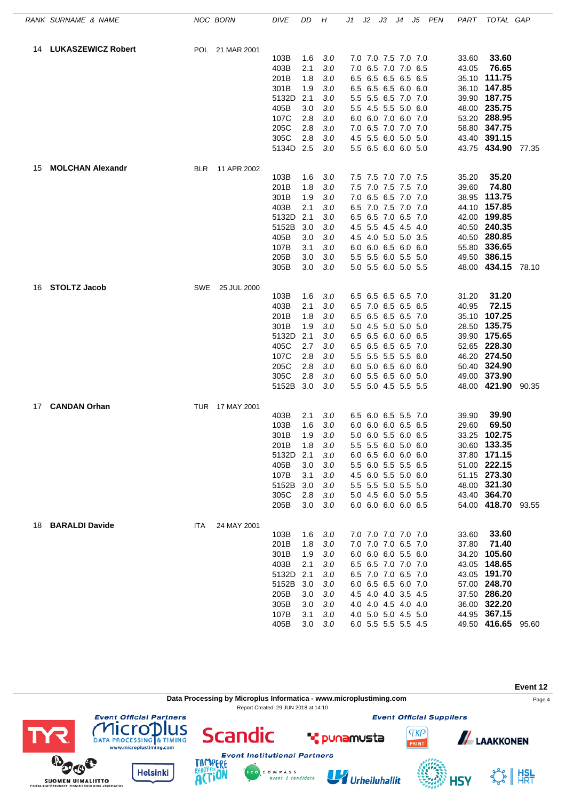|    | RANK SURNAME & NAME     |            | NOC BORN        | <b>DIVE</b>       | DD         | Η          | J1 | J2 | JЗ                                         | J4 | J5 | PEN | PART           | TOTAL GAP                          |       |
|----|-------------------------|------------|-----------------|-------------------|------------|------------|----|----|--------------------------------------------|----|----|-----|----------------|------------------------------------|-------|
|    | 14 LUKASZEWICZ Robert   |            | POL 21 MAR 2001 |                   |            |            |    |    |                                            |    |    |     |                |                                    |       |
|    |                         |            |                 | 103B              | 1.6        | 3.0        |    |    | 7.0 7.0 7.5 7.0 7.0                        |    |    |     | 33.60          | 33.60                              |       |
|    |                         |            |                 | 403B              | 2.1        | 3.0        |    |    | 7.0 6.5 7.0 7.0 6.5                        |    |    |     | 43.05          | 76.65                              |       |
|    |                         |            |                 | 201B              | 1.8        | 3.0        |    |    | 6.5 6.5 6.5 6.5 6.5                        |    |    |     | 35.10          | 111.75                             |       |
|    |                         |            |                 | 301B              | 1.9        | 3.0        |    |    | 6.5 6.5 6.5 6.0 6.0                        |    |    |     |                | 36.10 147.85                       |       |
|    |                         |            |                 | 5132D             | 2.1        | 3.0        |    |    | 5.5 5.5 6.5 7.0 7.0                        |    |    |     |                | 39.90 187.75                       |       |
|    |                         |            |                 | 405B              | 3.0        | 3.0        |    |    | 5.5 4.5 5.5 5.0 6.0                        |    |    |     |                | 48.00 235.75                       |       |
|    |                         |            |                 | 107C              | 2.8        | 3.0        |    |    | 6.0 6.0 7.0 6.0 7.0                        |    |    |     | 53.20          | 288.95                             |       |
|    |                         |            |                 | 205C              | 2.8        | 3.0        |    |    | 7.0 6.5 7.0 7.0 7.0                        |    |    |     | 58.80          | 347.75                             |       |
|    |                         |            |                 | 305C<br>5134D 2.5 | 2.8        | 3.0<br>3.0 |    |    | 4.5 5.5 6.0 5.0 5.0<br>5.5 6.5 6.0 6.0 5.0 |    |    |     | 43.40          | 391.15<br>43.75 434.90 77.35       |       |
| 15 | <b>MOLCHAN Alexandr</b> | <b>BLR</b> | 11 APR 2002     |                   |            |            |    |    |                                            |    |    |     |                |                                    |       |
|    |                         |            |                 | 103B              | 1.6        | 3.0        |    |    | 7.5 7.5 7.0 7.0 7.5                        |    |    |     | 35.20          | 35.20                              |       |
|    |                         |            |                 | 201B              | 1.8        | 3.0        |    |    | 7.5 7.0 7.5 7.5 7.0                        |    |    |     | 39.60          | 74.80                              |       |
|    |                         |            |                 | 301B              | 1.9        | 3.0        |    |    | 7.0 6.5 6.5 7.0 7.0                        |    |    |     | 38.95          | 113.75                             |       |
|    |                         |            |                 | 403B              | 2.1        | 3.0        |    |    | 6.5 7.0 7.5 7.0 7.0                        |    |    |     | 44.10          | 157.85                             |       |
|    |                         |            |                 | 5132D             | 2.1        | 3.0        |    |    | 6.5 6.5 7.0 6.5 7.0                        |    |    |     | 42.00          | 199.85                             |       |
|    |                         |            |                 | 5152B             | 3.0        | 3.0        |    |    | 4.5 5.5 4.5 4.5 4.0                        |    |    |     |                | 40.50 240.35                       |       |
|    |                         |            |                 | 405B              | 3.0        | 3.0        |    |    | 4.5 4.0 5.0 5.0 3.5                        |    |    |     |                | 40.50 280.85                       |       |
|    |                         |            |                 | 107B              | 3.1        | 3.0        |    |    | 6.0 6.0 6.5 6.0 6.0                        |    |    |     |                | 55.80 336.65                       |       |
|    |                         |            |                 | 205B              | 3.0        | 3.0        |    |    | 5.5 5.5 6.0 5.5 5.0                        |    |    |     | 49.50          | 386.15                             |       |
|    |                         |            |                 | 305B              | 3.0        | 3.0        |    |    | 5.0 5.5 6.0 5.0 5.5                        |    |    |     |                | 48.00 434.15 78.10                 |       |
| 16 | <b>STOLTZ Jacob</b>     | SWE        | 25 JUL 2000     |                   |            |            |    |    |                                            |    |    |     |                |                                    |       |
|    |                         |            |                 | 103B              | 1.6        | 3.0        |    |    | 6.5 6.5 6.5 6.5 7.0                        |    |    |     | 31.20          | 31.20<br>72.15                     |       |
|    |                         |            |                 | 403B              | 2.1        | 3.0<br>3.0 |    |    | 6.5 7.0 6.5 6.5 6.5<br>6.5 6.5 6.5 6.5 7.0 |    |    |     | 40.95<br>35.10 | 107.25                             |       |
|    |                         |            |                 | 201B<br>301B      | 1.8<br>1.9 | 3.0        |    |    | 5.0 4.5 5.0 5.0 5.0                        |    |    |     | 28.50          | 135.75                             |       |
|    |                         |            |                 | 5132D             | 2.1        | 3.0        |    |    | 6.5 6.5 6.0 6.0 6.5                        |    |    |     | 39.90          | 175.65                             |       |
|    |                         |            |                 | 405C              | 2.7        | 3.0        |    |    | 6.5 6.5 6.5 6.5 7.0                        |    |    |     |                | 52.65 228.30                       |       |
|    |                         |            |                 | 107C              | 2.8        | 3.0        |    |    | 5.5 5.5 5.5 5.5 6.0                        |    |    |     |                | 46.20 274.50                       |       |
|    |                         |            |                 | 205C              | 2.8        | 3.0        |    |    | 6.0 5.0 6.5 6.0 6.0                        |    |    |     |                | 50.40 324.90                       |       |
|    |                         |            |                 | 305C              | 2.8        | 3.0        |    |    | 6.0 5.5 6.5 6.0 5.0                        |    |    |     | 49.00          | 373.90                             |       |
|    |                         |            |                 | 5152B 3.0         |            | 3.0        |    |    | 5.5 5.0 4.5 5.5 5.5                        |    |    |     |                | 48.00 421.90                       | 90.35 |
| 17 | <b>CANDAN Orhan</b>     |            | TUR 17 MAY 2001 |                   |            |            |    |    |                                            |    |    |     |                |                                    |       |
|    |                         |            |                 | 403B              | 2.1        | 3.0        |    |    | 6.5 6.0 6.5 5.5 7.0                        |    |    |     | 39.90          | 39.90                              |       |
|    |                         |            |                 | 103B              | 1.6        | 3.0        |    |    | 6.0 6.0 6.0 6.5 6.5                        |    |    |     | 29.60          | 69.50                              |       |
|    |                         |            |                 | 301B              | 1.9        | 3.0        |    |    | 5.0 6.0 5.5 6.0 6.5                        |    |    |     | 33.25          | 102.75                             |       |
|    |                         |            |                 | 201B              | 1.8        | $3.0\,$    |    |    | 5.5 5.5 6.0 5.0 6.0                        |    |    |     |                | 30.60 133.35                       |       |
|    |                         |            |                 | 5132D             | 2.1        | 3.0        |    |    | 6.0 6.5 6.0 6.0 6.0                        |    |    |     |                | 37.80 171.15                       |       |
|    |                         |            |                 | 405B              | 3.0        | 3.0        |    |    | 5.5 6.0 5.5 5.5 6.5                        |    |    |     |                | 51.00 222.15                       |       |
|    |                         |            |                 | 107B              | 3.1        | 3.0        |    |    | 4.5 6.0 5.5 5.0 6.0                        |    |    |     |                | 51.15 273.30                       |       |
|    |                         |            |                 | 5152B             | 3.0        | 3.0        |    |    | 5.5 5.5 5.0 5.5 5.0                        |    |    |     |                | 48.00 321.30                       |       |
|    |                         |            |                 | 305C<br>205B      | 2.8<br>3.0 | 3.0<br>3.0 |    |    | 5.0 4.5 6.0 5.0 5.5<br>6.0 6.0 6.0 6.0 6.5 |    |    |     |                | 43.40 364.70<br>54.00 418.70 93.55 |       |
| 18 | <b>BARALDI Davide</b>   | <b>ITA</b> |                 |                   |            |            |    |    |                                            |    |    |     |                |                                    |       |
|    |                         |            | 24 MAY 2001     | 103B              | 1.6        | 3.0        |    |    | 7.0 7.0 7.0 7.0 7.0                        |    |    |     | 33.60          | 33.60                              |       |
|    |                         |            |                 | 201B              | 1.8        | 3.0        |    |    | 7.0 7.0 7.0 6.5 7.0                        |    |    |     | 37.80          | 71.40                              |       |
|    |                         |            |                 | 301B              | 1.9        | 3.0        |    |    | 6.0 6.0 6.0 5.5 6.0                        |    |    |     | 34.20          | 105.60                             |       |
|    |                         |            |                 | 403B              | 2.1        | 3.0        |    |    | 6.5 6.5 7.0 7.0 7.0                        |    |    |     |                | 43.05 148.65                       |       |
|    |                         |            |                 | 5132D             | 2.1        | 3.0        |    |    | 6.5 7.0 7.0 6.5 7.0                        |    |    |     |                | 43.05 191.70                       |       |
|    |                         |            |                 | 5152B             | 3.0        | 3.0        |    |    | 6.0 6.5 6.5 6.0 7.0                        |    |    |     |                | 57.00 248.70                       |       |
|    |                         |            |                 | 205B              | 3.0        | 3.0        |    |    | 4.5 4.0 4.0 3.5 4.5                        |    |    |     |                | 37.50 286.20                       |       |
|    |                         |            |                 | 305B              | 3.0        | 3.0        |    |    | 4.0 4.0 4.5 4.0 4.0                        |    |    |     |                | 36.00 322.20                       |       |
|    |                         |            |                 | 107B              | 3.1        | 3.0        |    |    | 4.0 5.0 5.0 4.5 5.0                        |    |    |     |                | 44.95 367.15                       |       |
|    |                         |            |                 | 405B              | 3.0        | 3.0        |    |    | 6.0 5.5 5.5 5.5 4.5                        |    |    |     |                | 49.50 416.65 95.60                 |       |

**Event 12** Data Processing by Microplus Informatica - www.microplustiming.com<br>
Page 4 Report Created 29 JUN 2018 at 14:10**Event Official Partners Event Official Suppliers COMPLETED**<br>DATA PROCESSING & TIMING<br>www.microplustiming.com **Scandic TKP ALAAKKONEN T** punamusta **Event Institutional Partners** 

C O M P A S S<br>event | candidate

Urheiluhallit

SS HISL

**HSY** 





ERE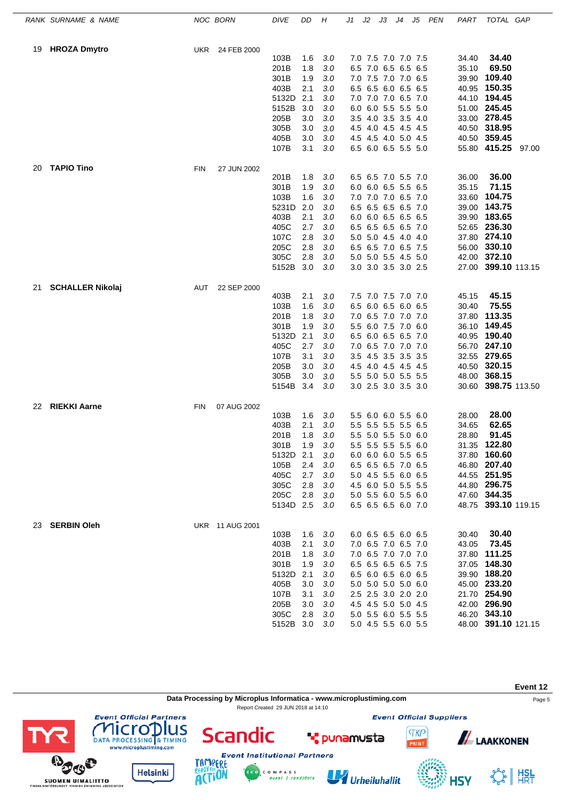|    | RANK SURNAME & NAME     |            | NOC BORN        | <b>DIVE</b> | DD  | Н       | J1 | J2 | JЗ                  | J4 | J5 | PEN | PART  | TOTAL GAP           |  |
|----|-------------------------|------------|-----------------|-------------|-----|---------|----|----|---------------------|----|----|-----|-------|---------------------|--|
| 19 | <b>HROZA Dmytro</b>     |            | UKR 24 FEB 2000 |             |     |         |    |    |                     |    |    |     |       |                     |  |
|    |                         |            |                 | 103B        | 1.6 | 3.0     |    |    | 7.0 7.5 7.0 7.0 7.5 |    |    |     | 34.40 | 34.40               |  |
|    |                         |            |                 | 201B        | 1.8 | 3.0     |    |    | 6.5 7.0 6.5 6.5 6.5 |    |    |     | 35.10 | 69.50               |  |
|    |                         |            |                 | 301B        | 1.9 | 3.0     |    |    | 7.0 7.5 7.0 7.0 6.5 |    |    |     | 39.90 | 109.40              |  |
|    |                         |            |                 | 403B        | 2.1 | 3.0     |    |    | 6.5 6.5 6.0 6.5 6.5 |    |    |     |       | 40.95 150.35        |  |
|    |                         |            |                 | 5132D       | 2.1 | 3.0     |    |    | 7.0 7.0 7.0 6.5 7.0 |    |    |     |       | 44.10 194.45        |  |
|    |                         |            |                 | 5152B       | 3.0 | 3.0     |    |    | 6.0 6.0 5.5 5.5 5.0 |    |    |     |       | 51.00 245.45        |  |
|    |                         |            |                 | 205B        | 3.0 | 3.0     |    |    | 3.5 4.0 3.5 3.5 4.0 |    |    |     |       | 33.00 278.45        |  |
|    |                         |            |                 | 305B        | 3.0 | 3.0     |    |    | 4.5 4.0 4.5 4.5 4.5 |    |    |     |       | 40.50 318.95        |  |
|    |                         |            |                 | 405B        | 3.0 | 3.0     |    |    | 4.5 4.5 4.0 5.0 4.5 |    |    |     |       | 40.50 359.45        |  |
|    |                         |            |                 | 107B        | 3.1 | 3.0     |    |    | 6.5 6.0 6.5 5.5 5.0 |    |    |     |       | 55.80 415.25 97.00  |  |
| 20 | <b>TAPIO Tino</b>       | <b>FIN</b> | 27 JUN 2002     |             |     |         |    |    |                     |    |    |     |       |                     |  |
|    |                         |            |                 | 201B        | 1.8 | 3.0     |    |    | 6.5 6.5 7.0 5.5 7.0 |    |    |     | 36.00 | 36.00               |  |
|    |                         |            |                 | 301B        | 1.9 | 3.0     |    |    | 6.0 6.0 6.5 5.5 6.5 |    |    |     | 35.15 | 71.15               |  |
|    |                         |            |                 | 103B        | 1.6 | 3.0     |    |    | 7.0 7.0 7.0 6.5 7.0 |    |    |     | 33.60 | 104.75              |  |
|    |                         |            |                 | 5231D       | 2.0 | 3.0     |    |    | 6.5 6.5 6.5 6.5 7.0 |    |    |     | 39.00 | 143.75              |  |
|    |                         |            |                 | 403B        | 2.1 | 3.0     |    |    | 6.0 6.0 6.5 6.5 6.5 |    |    |     |       | 39.90 183.65        |  |
|    |                         |            |                 | 405C        | 2.7 | 3.0     |    |    | 6.5 6.5 6.5 6.5 7.0 |    |    |     |       | 52.65 236.30        |  |
|    |                         |            |                 | 107C        | 2.8 | 3.0     |    |    | 5.0 5.0 4.5 4.0 4.0 |    |    |     |       | 37.80 274.10        |  |
|    |                         |            |                 | 205C        | 2.8 | 3.0     |    |    | 6.5 6.5 7.0 6.5 7.5 |    |    |     |       | 56.00 330.10        |  |
|    |                         |            |                 | 305C        | 2.8 | 3.0     |    |    | 5.0 5.0 5.5 4.5 5.0 |    |    |     |       | 42.00 372.10        |  |
|    |                         |            |                 | 5152B       | 3.0 | 3.0     |    |    | 3.0 3.0 3.5 3.0 2.5 |    |    |     |       | 27.00 399.10 113.15 |  |
| 21 | <b>SCHALLER Nikolaj</b> | AUT        | 22 SEP 2000     |             |     |         |    |    |                     |    |    |     |       |                     |  |
|    |                         |            |                 | 403B        | 2.1 | 3.0     |    |    | 7.5 7.0 7.5 7.0 7.0 |    |    |     | 45.15 | 45.15               |  |
|    |                         |            |                 | 103B        | 1.6 | 3.0     |    |    | 6.5 6.0 6.5 6.0 6.5 |    |    |     | 30.40 | 75.55               |  |
|    |                         |            |                 | 201B        | 1.8 | 3.0     |    |    | 7.0 6.5 7.0 7.0 7.0 |    |    |     | 37.80 | 113.35              |  |
|    |                         |            |                 | 301B        | 1.9 | 3.0     |    |    | 5.5 6.0 7.5 7.0 6.0 |    |    |     |       | 36.10 149.45        |  |
|    |                         |            |                 | 5132D       | 2.1 | 3.0     |    |    | 6.5 6.0 6.5 6.5 7.0 |    |    |     |       | 40.95 190.40        |  |
|    |                         |            |                 | 405C        | 2.7 | 3.0     |    |    | 7.0 6.5 7.0 7.0 7.0 |    |    |     |       | 56.70 247.10        |  |
|    |                         |            |                 | 107B        | 3.1 | 3.0     |    |    | 3.5 4.5 3.5 3.5 3.5 |    |    |     |       | 32.55 279.65        |  |
|    |                         |            |                 | 205B        | 3.0 | 3.0     |    |    | 4.5 4.0 4.5 4.5 4.5 |    |    |     |       | 40.50 320.15        |  |
|    |                         |            |                 | 305B        | 3.0 | 3.0     |    |    | 5.5 5.0 5.0 5.5 5.5 |    |    |     |       | 48.00 368.15        |  |
|    |                         |            |                 | 5154B       | 3.4 | 3.0     |    |    | 3.0 2.5 3.0 3.5 3.0 |    |    |     |       | 30.60 398.75 113.50 |  |
| 22 | <b>RIEKKI Aarne</b>     | <b>FIN</b> | 07 AUG 2002     |             |     |         |    |    |                     |    |    |     |       |                     |  |
|    |                         |            |                 | 103B        | 1.6 | 3.0     |    |    | 5.5 6.0 6.0 5.5 6.0 |    |    |     | 28.00 | 28.00               |  |
|    |                         |            |                 | 403B        | 2.1 | 3.0     |    |    | 5.5 5.5 5.5 5.5 6.5 |    |    |     | 34.65 | 62.65               |  |
|    |                         |            |                 | 201B        | 1.8 | 3.0     |    |    | 5.5 5.0 5.5 5.0 6.0 |    |    |     | 28.80 | 91.45               |  |
|    |                         |            |                 | 301B        | 1.9 | $3.0\,$ |    |    | 5.5 5.5 5.5 5.5 6.0 |    |    |     |       | 31.35 122.80        |  |
|    |                         |            |                 | 5132D       | 2.1 | 3.0     |    |    | 6.0 6.0 6.0 5.5 6.5 |    |    |     |       | 37.80 160.60        |  |
|    |                         |            |                 | 105B        | 2.4 | 3.0     |    |    | 6.5 6.5 6.5 7.0 6.5 |    |    |     |       | 46.80 207.40        |  |
|    |                         |            |                 | 405C        | 2.7 | 3.0     |    |    | 5.0 4.5 5.5 6.0 6.5 |    |    |     |       | 44.55 251.95        |  |
|    |                         |            |                 | 305C        | 2.8 | 3.0     |    |    | 4.5 6.0 5.0 5.5 5.5 |    |    |     |       | 44.80 296.75        |  |
|    |                         |            |                 | 205C        | 2.8 | 3.0     |    |    | 5.0 5.5 6.0 5.5 6.0 |    |    |     |       | 47.60 344.35        |  |
|    |                         |            |                 | 5134D 2.5   |     | 3.0     |    |    | 6.5 6.5 6.5 6.0 7.0 |    |    |     |       | 48.75 393.10 119.15 |  |
| 23 | <b>SERBIN Oleh</b>      |            | UKR 11 AUG 2001 |             |     |         |    |    |                     |    |    |     |       |                     |  |
|    |                         |            |                 | 103B        | 1.6 | 3.0     |    |    | 6.0 6.5 6.5 6.0 6.5 |    |    |     | 30.40 | 30.40<br>73.45      |  |
|    |                         |            |                 | 403B        | 2.1 | 3.0     |    |    | 7.0 6.5 7.0 6.5 7.0 |    |    |     | 43.05 |                     |  |
|    |                         |            |                 | 201B        | 1.8 | 3.0     |    |    | 7.0 6.5 7.0 7.0 7.0 |    |    |     |       | 37.80 111.25        |  |
|    |                         |            |                 | 301B        | 1.9 | 3.0     |    |    | 6.5 6.5 6.5 6.5 7.5 |    |    |     |       | 37.05 148.30        |  |
|    |                         |            |                 | 5132D       | 2.1 | 3.0     |    |    | 6.5 6.0 6.5 6.0 6.5 |    |    |     |       | 39.90 188.20        |  |
|    |                         |            |                 | 405B        | 3.0 | 3.0     |    |    | 5.0 5.0 5.0 5.0 6.0 |    |    |     |       | 45.00 233.20        |  |
|    |                         |            |                 | 107B        | 3.1 | 3.0     |    |    | 2.5 2.5 3.0 2.0 2.0 |    |    |     |       | 21.70 254.90        |  |
|    |                         |            |                 | 205B        | 3.0 | 3.0     |    |    | 4.5 4.5 5.0 5.0 4.5 |    |    |     |       | 42.00 296.90        |  |
|    |                         |            |                 | 305C        | 2.8 | 3.0     |    |    | 5.0 5.5 6.0 5.5 5.5 |    |    |     |       | 46.20 343.10        |  |
|    |                         |            |                 | 5152B 3.0   |     | 3.0     |    |    | 5.0 4.5 5.5 6.0 5.5 |    |    |     |       | 48.00 391.10 121.15 |  |

**Event 12 Data Processing by Microplus Informatica - www.microplustiming.com** Page 5 Report Created 29 JUN 2018 at 14:10**Event Official Partners Event Official Suppliers COMPLETED**<br>DATA PROCESSING & TIMING<br>www.microplustiming.com **Scandic TKP ALAAKKONEN \*** punamusta **Event Institutional Partners** 

C O M P A S S<br>event | candidate

Urheiluhallit

☆ | #SL

**HSY**